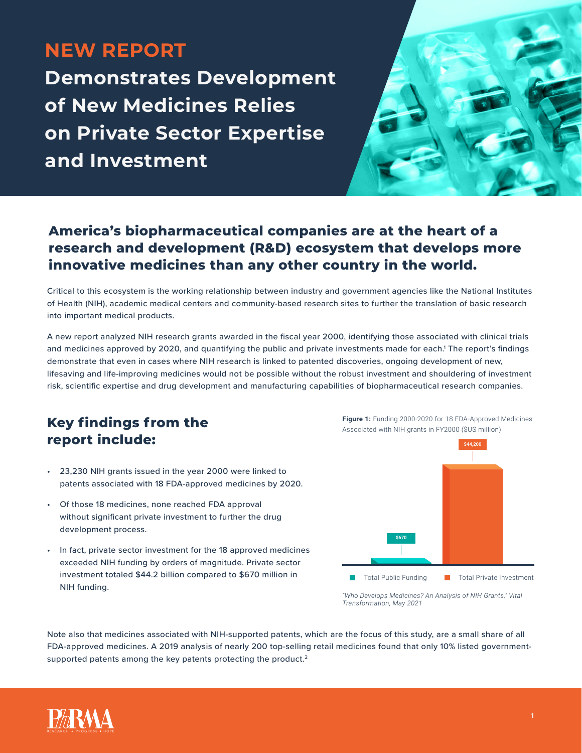# **NEW REPORT**

**Demonstrates Development of New Medicines Relies on Private Sector Expertise and Investment**



### **America's biopharmaceutical companies are at the heart of a research and development (R&D) ecosystem that develops more innovative medicines than any other country in the world.**

Critical to this ecosystem is the working relationship between industry and government agencies like the National Institutes of Health (NIH), academic medical centers and community-based research sites to further the translation of basic research into important medical products.

A new report analyzed NIH research grants awarded in the fiscal year 2000, identifying those associated with clinical trials and medicines approved by 2020, and quantifying the public and private investments made for each.<sup>1</sup> The report's findings demonstrate that even in cases where NIH research is linked to patented discoveries, ongoing development of new, lifesaving and life-improving medicines would not be possible without the robust investment and shouldering of investment risk, scientific expertise and drug development and manufacturing capabilities of biopharmaceutical research companies.

### **Key findings from the report include:**

- 23,230 NIH grants issued in the year 2000 were linked to patents associated with 18 FDA-approved medicines by 2020.
- Of those 18 medicines, none reached FDA approval without significant private investment to further the drug development process.
- In fact, private sector investment for the 18 approved medicines exceeded NIH funding by orders of magnitude. Private sector investment totaled \$44.2 billion compared to \$670 million in NIH funding.



*<sup>&</sup>quot;Who Develops Medicines? An Analysis of NIH Grants," Vital Transformation, May 2021*

Note also that medicines associated with NIH-supported patents, which are the focus of this study, are a small share of all FDA-approved medicines. A 2019 analysis of nearly 200 top-selling retail medicines found that only 10% listed governmentsupported patents among the key patents protecting the product.<sup>2</sup>